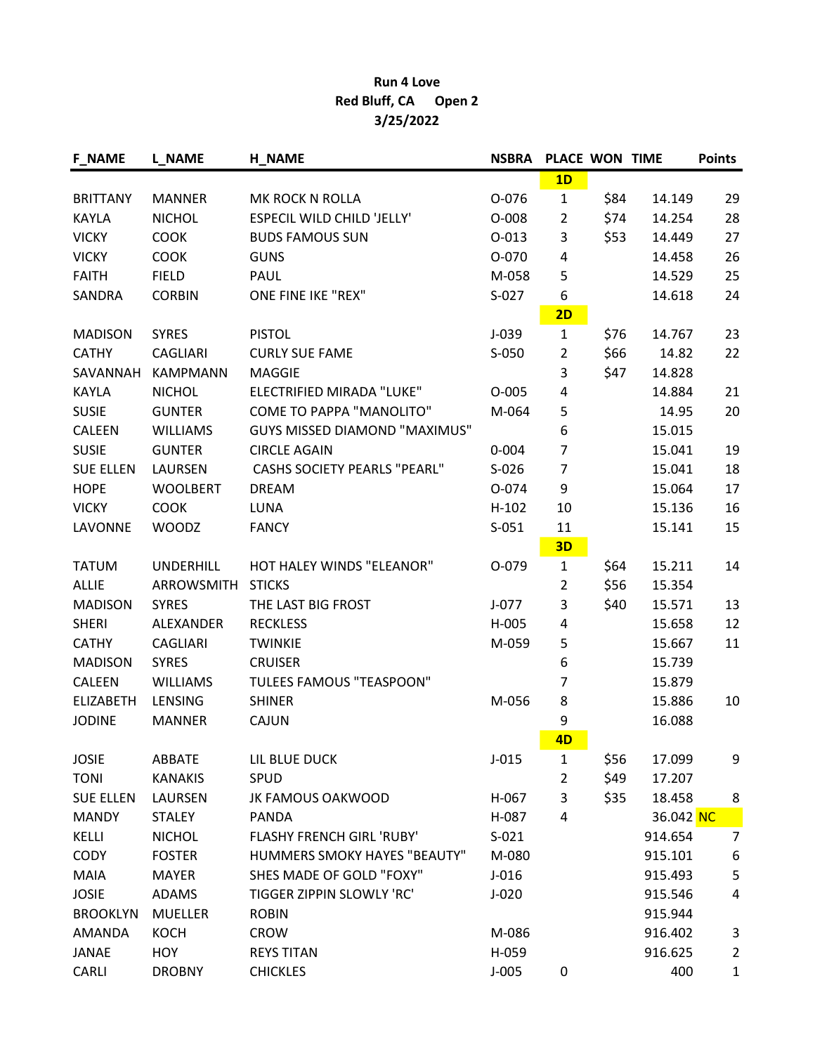## Run 4 Love Red Bluff, CA Open 2 3/25/2022

| <b>F NAME</b>    | <b>L_NAME</b>    | <b>H_NAME</b>                        | <b>NSBRA</b> | PLACE WON TIME |      |           | <b>Points</b>  |
|------------------|------------------|--------------------------------------|--------------|----------------|------|-----------|----------------|
|                  |                  |                                      |              | 1D             |      |           |                |
| <b>BRITTANY</b>  | <b>MANNER</b>    | MK ROCK N ROLLA                      | 0-076        | $\mathbf{1}$   | \$84 | 14.149    | 29             |
| KAYLA            | <b>NICHOL</b>    | <b>ESPECIL WILD CHILD 'JELLY'</b>    | $O-008$      | $\overline{2}$ | \$74 | 14.254    | 28             |
| <b>VICKY</b>     | <b>COOK</b>      | <b>BUDS FAMOUS SUN</b>               | $0 - 013$    | 3              | \$53 | 14.449    | 27             |
| <b>VICKY</b>     | <b>COOK</b>      | <b>GUNS</b>                          | O-070        | 4              |      | 14.458    | 26             |
| <b>FAITH</b>     | <b>FIELD</b>     | PAUL                                 | M-058        | 5              |      | 14.529    | 25             |
| SANDRA           | <b>CORBIN</b>    | ONE FINE IKE "REX"                   | $S-027$      | 6              |      | 14.618    | 24             |
|                  |                  |                                      |              | 2D             |      |           |                |
| <b>MADISON</b>   | <b>SYRES</b>     | <b>PISTOL</b>                        | $J-039$      | $\mathbf{1}$   | \$76 | 14.767    | 23             |
| <b>CATHY</b>     | <b>CAGLIARI</b>  | <b>CURLY SUE FAME</b>                | $S-050$      | $\overline{2}$ | \$66 | 14.82     | 22             |
| SAVANNAH         | <b>KAMPMANN</b>  | <b>MAGGIE</b>                        |              | 3              | \$47 | 14.828    |                |
| KAYLA            | <b>NICHOL</b>    | ELECTRIFIED MIRADA "LUKE"            | $O-005$      | 4              |      | 14.884    | 21             |
| <b>SUSIE</b>     | <b>GUNTER</b>    | <b>COME TO PAPPA "MANOLITO"</b>      | M-064        | 5              |      | 14.95     | 20             |
| <b>CALEEN</b>    | <b>WILLIAMS</b>  | <b>GUYS MISSED DIAMOND "MAXIMUS"</b> |              | 6              |      | 15.015    |                |
| <b>SUSIE</b>     | <b>GUNTER</b>    | <b>CIRCLE AGAIN</b>                  | $0 - 004$    | $\overline{7}$ |      | 15.041    | 19             |
| <b>SUE ELLEN</b> | LAURSEN          | <b>CASHS SOCIETY PEARLS "PEARL"</b>  | $S-026$      | $\overline{7}$ |      | 15.041    | 18             |
| <b>HOPE</b>      | <b>WOOLBERT</b>  | <b>DREAM</b>                         | 0-074        | 9              |      | 15.064    | 17             |
| <b>VICKY</b>     | <b>COOK</b>      | <b>LUNA</b>                          | $H-102$      | 10             |      | 15.136    | 16             |
| LAVONNE          | <b>WOODZ</b>     | <b>FANCY</b>                         | $S-051$      | 11             |      | 15.141    | 15             |
|                  |                  |                                      |              | 3D             |      |           |                |
| <b>TATUM</b>     | <b>UNDERHILL</b> | HOT HALEY WINDS "ELEANOR"            | 0-079        | $\mathbf{1}$   | \$64 | 15.211    | 14             |
| <b>ALLIE</b>     | ARROWSMITH       | <b>STICKS</b>                        |              | $\overline{2}$ | \$56 | 15.354    |                |
| <b>MADISON</b>   | <b>SYRES</b>     | THE LAST BIG FROST                   | $J-077$      | 3              | \$40 | 15.571    | 13             |
| <b>SHERI</b>     | ALEXANDER        | <b>RECKLESS</b>                      | H-005        | 4              |      | 15.658    | 12             |
| <b>CATHY</b>     | <b>CAGLIARI</b>  | <b>TWINKIE</b>                       | M-059        | 5              |      | 15.667    | 11             |
| <b>MADISON</b>   | <b>SYRES</b>     | <b>CRUISER</b>                       |              | 6              |      | 15.739    |                |
| CALEEN           | <b>WILLIAMS</b>  | <b>TULEES FAMOUS "TEASPOON"</b>      |              | 7              |      | 15.879    |                |
| <b>ELIZABETH</b> | LENSING          | <b>SHINER</b>                        | M-056        | 8              |      | 15.886    | 10             |
| <b>JODINE</b>    | <b>MANNER</b>    | CAJUN                                |              | 9              |      | 16.088    |                |
|                  |                  |                                      |              | 4D             |      |           |                |
| <b>JOSIE</b>     | ABBATE           | LIL BLUE DUCK                        | $J-015$      | $\mathbf{1}$   | \$56 | 17.099    | 9              |
| <b>TONI</b>      | <b>KANAKIS</b>   | <b>SPUD</b>                          |              | $\overline{2}$ | \$49 | 17.207    |                |
| <b>SUE ELLEN</b> | LAURSEN          | JK FAMOUS OAKWOOD                    | H-067        | 3              | \$35 | 18.458    | 8              |
| <b>MANDY</b>     | <b>STALEY</b>    | PANDA                                | H-087        | 4              |      | 36.042 NC |                |
| KELLI            | <b>NICHOL</b>    | FLASHY FRENCH GIRL 'RUBY'            | $S-021$      |                |      | 914.654   | 7              |
| <b>CODY</b>      | <b>FOSTER</b>    | <b>HUMMERS SMOKY HAYES "BEAUTY"</b>  | M-080        |                |      | 915.101   | 6              |
| <b>MAIA</b>      | <b>MAYER</b>     | SHES MADE OF GOLD "FOXY"             | $J-016$      |                |      | 915.493   | 5              |
| <b>JOSIE</b>     | ADAMS            | TIGGER ZIPPIN SLOWLY 'RC'            | $J-020$      |                |      | 915.546   | 4              |
| <b>BROOKLYN</b>  | <b>MUELLER</b>   | <b>ROBIN</b>                         |              |                |      | 915.944   |                |
| AMANDA           | <b>KOCH</b>      | <b>CROW</b>                          | M-086        |                |      | 916.402   | 3              |
| JANAE            | HOY              | <b>REYS TITAN</b>                    | H-059        |                |      | 916.625   | $\overline{2}$ |
| CARLI            | <b>DROBNY</b>    | <b>CHICKLES</b>                      | $J-005$      | 0              |      | 400       | $\mathbf{1}$   |